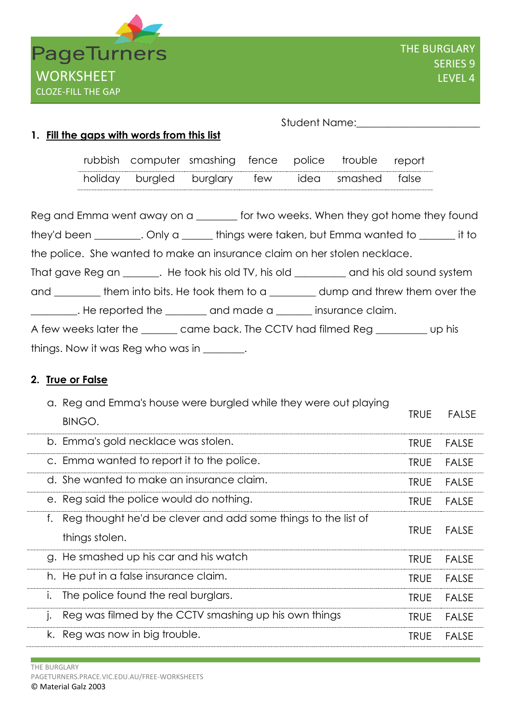

## **1. Fill the gaps with words from this list**

Student Name:

| rubbish computer smashing fence police trouble report |  |  |  |
|-------------------------------------------------------|--|--|--|
| holiday burgled burglary few idea smashed false       |  |  |  |

|                                                                                                                | Reg and Emma went away on a _______ for two weeks. When they got home they found |  |  |  |
|----------------------------------------------------------------------------------------------------------------|----------------------------------------------------------------------------------|--|--|--|
| they'd been _________. Only a ______ things were taken, but Emma wanted to _______ it to                       |                                                                                  |  |  |  |
| the police. She wanted to make an insurance claim on her stolen necklace.                                      |                                                                                  |  |  |  |
| That gave Reg an ________. He took his old TV, his old ___________ and his old sound system                    |                                                                                  |  |  |  |
| and _________them into bits. He took them to a _________ dump and threw them over the                          |                                                                                  |  |  |  |
| Letter Community and made a Letter Community Community Property and made a Letter Community Community Property |                                                                                  |  |  |  |
| A few weeks later the _______ came back. The CCTV had filmed Reg ________ up his                               |                                                                                  |  |  |  |
| things. Now it was Reg who was in ________.                                                                    |                                                                                  |  |  |  |

## **2. True or False**

|              | a. Reg and Emma's house were burgled while they were out playing<br>BINGO.      | <b>TRUE</b> | <b>FALSE</b> |
|--------------|---------------------------------------------------------------------------------|-------------|--------------|
|              | b. Emma's gold necklace was stolen.                                             | <b>TRUE</b> | <b>FALSE</b> |
|              | c. Emma wanted to report it to the police.                                      | <b>TRUE</b> | <b>FALSE</b> |
|              | d. She wanted to make an insurance claim.                                       | <b>TRUE</b> | <b>FALSE</b> |
|              | e. Reg said the police would do nothing.                                        | <b>TRUE</b> | FALSE        |
| f.           | Reg thought he'd be clever and add some things to the list of<br>things stolen. | <b>TRUE</b> | <b>FALSE</b> |
|              | g. He smashed up his car and his watch                                          | <b>TRUE</b> | <b>FALSE</b> |
|              | h. He put in a false insurance claim.                                           | <b>TRUE</b> | <b>FALSE</b> |
| $\mathsf{L}$ | The police found the real burglars.                                             | <b>TRUE</b> | <b>FALSE</b> |
| $\cdot$      | Reg was filmed by the CCTV smashing up his own things                           | <b>TRUE</b> | <b>FALSE</b> |
| k.           | Reg was now in big trouble.                                                     | <b>TRUE</b> | <b>FALSE</b> |